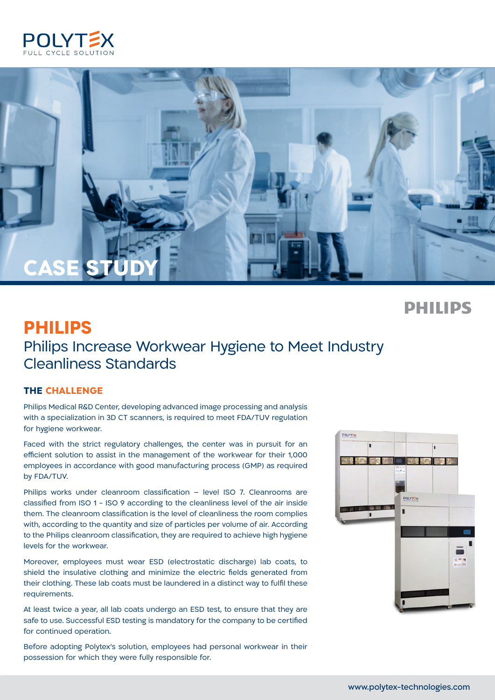



 **PHILIPS**

# **PHILIPS** Philips Increase Workwear Hygiene to Meet Industry Cleanliness Standards

### **THE CHALLENGE**

Philips Medical R&D Center, developing advanced image processing and analysis with a specialization in 3D CT scanners, is required to meet FDA/TUV regulation for hygiene workwear.

Faced with the strict regulatory challenges, the center was in pursuit for an efficient solution to assist in the management of the workwear for their 1,000 employees in accordance with good manufacturing process (GMP) as required by FDA/TUV.

Philips works under cleanroom classification – level ISO 7. Cleanrooms are classified from ISO 1 - ISO 9 according to the cleanliness level of the air inside them. The cleanroom classification is the level of cleanliness the room complies with, according to the quantity and size of particles per volume of air. According to the Philips cleanroom classification, they are required to achieve high hygiene levels for the workwear.

Moreover, employees must wear ESD (electrostatic discharge) lab coats, to shield the insulative clothing and minimize the electric fields generated from their clothing. These lab coats must be laundered in a distinct way to fulfil these .requirements

At least twice a year, all lab coats undergo an ESD test, to ensure that they are safe to use. Successful ESD testing is mandatory for the company to be certified for continued operation.

Before adopting Polytex's solution, employees had personal workwear in their possession for which they were fully responsible for.